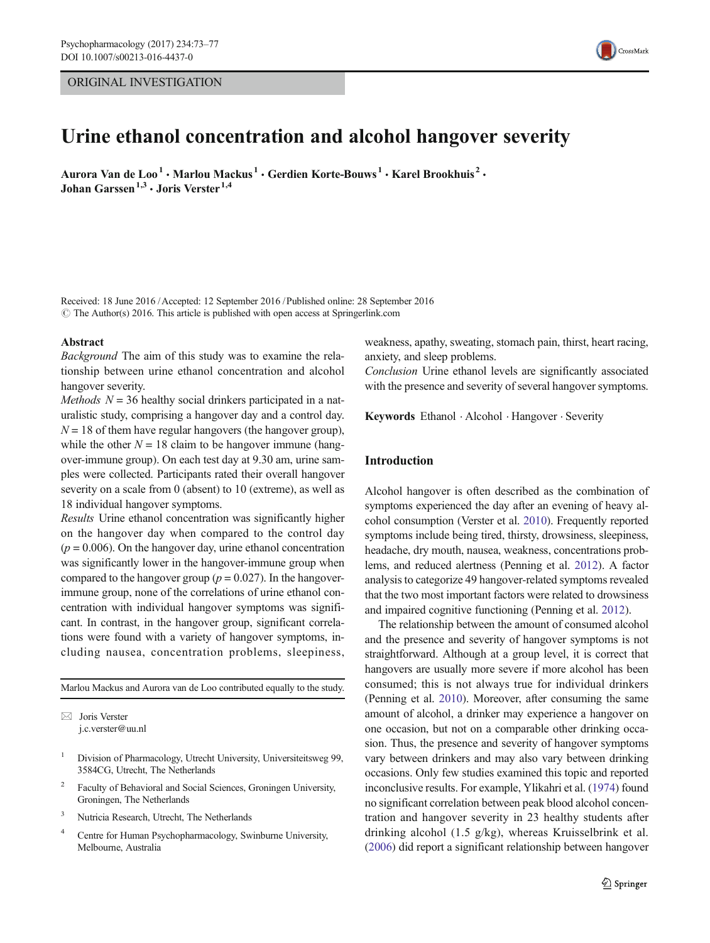## ORIGINAL INVESTIGATION



# Urine ethanol concentration and alcohol hangover severity

Aurora Van de Loo<sup>1</sup> • Marlou Mackus<sup>1</sup> • Gerdien Korte-Bouws<sup>1</sup> • Karel Brookhuis<sup>2</sup> • Johan Garssen<sup>1,3</sup>  $\cdot$  Joris Verster<sup>1,4</sup>

Received: 18 June 2016 /Accepted: 12 September 2016 /Published online: 28 September 2016  $\odot$  The Author(s) 2016. This article is published with open access at Springerlink.com

#### Abstract

Background The aim of this study was to examine the relationship between urine ethanol concentration and alcohol hangover severity.

*Methods*  $N = 36$  healthy social drinkers participated in a naturalistic study, comprising a hangover day and a control day.  $N = 18$  of them have regular hangovers (the hangover group), while the other  $N = 18$  claim to be hangover immune (hangover-immune group). On each test day at 9.30 am, urine samples were collected. Participants rated their overall hangover severity on a scale from 0 (absent) to 10 (extreme), as well as 18 individual hangover symptoms.

Results Urine ethanol concentration was significantly higher on the hangover day when compared to the control day  $(p = 0.006)$ . On the hangover day, urine ethanol concentration was significantly lower in the hangover-immune group when compared to the hangover group ( $p = 0.027$ ). In the hangoverimmune group, none of the correlations of urine ethanol concentration with individual hangover symptoms was significant. In contrast, in the hangover group, significant correlations were found with a variety of hangover symptoms, including nausea, concentration problems, sleepiness,

Marlou Mackus and Aurora van de Loo contributed equally to the study.

 $\boxtimes$  Joris Verster j.c.verster@uu.nl

- <sup>1</sup> Division of Pharmacology, Utrecht University, Universiteitsweg 99, 3584CG, Utrecht, The Netherlands
- Faculty of Behavioral and Social Sciences, Groningen University, Groningen, The Netherlands
- <sup>3</sup> Nutricia Research, Utrecht, The Netherlands
- <sup>4</sup> Centre for Human Psychopharmacology, Swinburne University, Melbourne, Australia

weakness, apathy, sweating, stomach pain, thirst, heart racing, anxiety, and sleep problems.

Conclusion Urine ethanol levels are significantly associated with the presence and severity of several hangover symptoms.

Keywords Ethanol . Alcohol . Hangover . Severity

# Introduction

Alcohol hangover is often described as the combination of symptoms experienced the day after an evening of heavy alcohol consumption (Verster et al. [2010\)](#page-4-0). Frequently reported symptoms include being tired, thirsty, drowsiness, sleepiness, headache, dry mouth, nausea, weakness, concentrations problems, and reduced alertness (Penning et al. [2012\)](#page-4-0). A factor analysis to categorize 49 hangover-related symptoms revealed that the two most important factors were related to drowsiness and impaired cognitive functioning (Penning et al. [2012](#page-4-0)).

The relationship between the amount of consumed alcohol and the presence and severity of hangover symptoms is not straightforward. Although at a group level, it is correct that hangovers are usually more severe if more alcohol has been consumed; this is not always true for individual drinkers (Penning et al. [2010](#page-4-0)). Moreover, after consuming the same amount of alcohol, a drinker may experience a hangover on one occasion, but not on a comparable other drinking occasion. Thus, the presence and severity of hangover symptoms vary between drinkers and may also vary between drinking occasions. Only few studies examined this topic and reported inconclusive results. For example, Ylikahri et al. ([1974](#page-4-0)) found no significant correlation between peak blood alcohol concentration and hangover severity in 23 healthy students after drinking alcohol (1.5 g/kg), whereas Kruisselbrink et al. [\(2006\)](#page-4-0) did report a significant relationship between hangover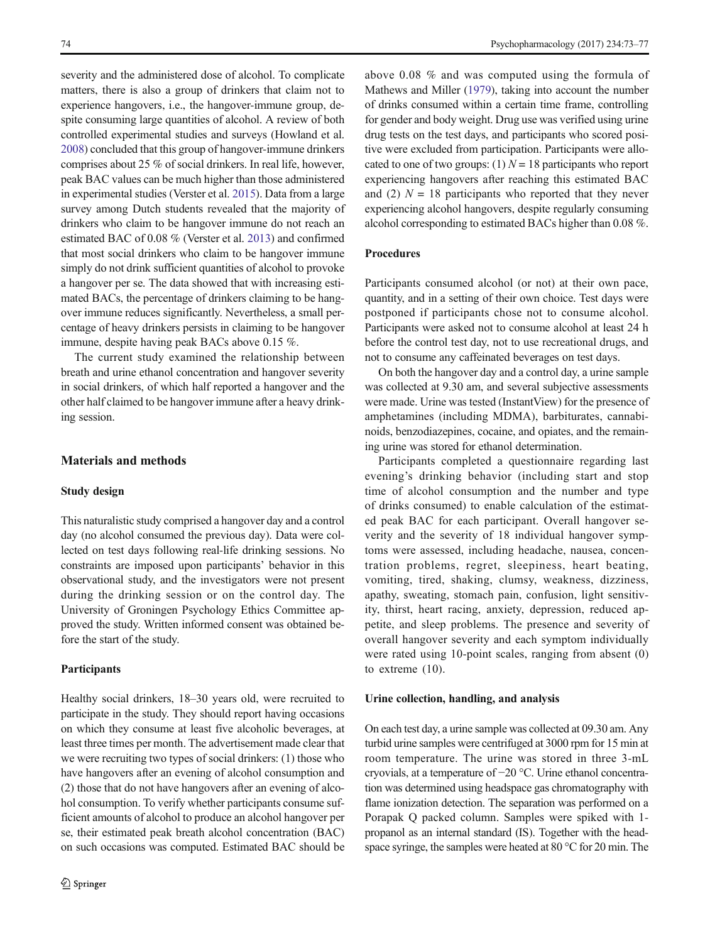severity and the administered dose of alcohol. To complicate matters, there is also a group of drinkers that claim not to experience hangovers, i.e., the hangover-immune group, despite consuming large quantities of alcohol. A review of both controlled experimental studies and surveys (Howland et al. [2008\)](#page-4-0) concluded that this group of hangover-immune drinkers comprises about 25 % of social drinkers. In real life, however, peak BAC values can be much higher than those administered in experimental studies (Verster et al. [2015\)](#page-4-0). Data from a large survey among Dutch students revealed that the majority of drinkers who claim to be hangover immune do not reach an estimated BAC of 0.08 % (Verster et al. [2013](#page-4-0)) and confirmed that most social drinkers who claim to be hangover immune simply do not drink sufficient quantities of alcohol to provoke a hangover per se. The data showed that with increasing estimated BACs, the percentage of drinkers claiming to be hangover immune reduces significantly. Nevertheless, a small percentage of heavy drinkers persists in claiming to be hangover immune, despite having peak BACs above 0.15 %.

The current study examined the relationship between breath and urine ethanol concentration and hangover severity in social drinkers, of which half reported a hangover and the other half claimed to be hangover immune after a heavy drinking session.

## Materials and methods

#### Study design

This naturalistic study comprised a hangover day and a control day (no alcohol consumed the previous day). Data were collected on test days following real-life drinking sessions. No constraints are imposed upon participants' behavior in this observational study, and the investigators were not present during the drinking session or on the control day. The University of Groningen Psychology Ethics Committee approved the study. Written informed consent was obtained before the start of the study.

## Participants

Healthy social drinkers, 18–30 years old, were recruited to participate in the study. They should report having occasions on which they consume at least five alcoholic beverages, at least three times per month. The advertisement made clear that we were recruiting two types of social drinkers: (1) those who have hangovers after an evening of alcohol consumption and (2) those that do not have hangovers after an evening of alcohol consumption. To verify whether participants consume sufficient amounts of alcohol to produce an alcohol hangover per se, their estimated peak breath alcohol concentration (BAC) on such occasions was computed. Estimated BAC should be

above 0.08 % and was computed using the formula of Mathews and Miller [\(1979\)](#page-4-0), taking into account the number of drinks consumed within a certain time frame, controlling for gender and body weight. Drug use was verified using urine drug tests on the test days, and participants who scored positive were excluded from participation. Participants were allocated to one of two groups: (1)  $N = 18$  participants who report experiencing hangovers after reaching this estimated BAC and (2)  $N = 18$  participants who reported that they never experiencing alcohol hangovers, despite regularly consuming alcohol corresponding to estimated BACs higher than 0.08 %.

## Procedures

Participants consumed alcohol (or not) at their own pace, quantity, and in a setting of their own choice. Test days were postponed if participants chose not to consume alcohol. Participants were asked not to consume alcohol at least 24 h before the control test day, not to use recreational drugs, and not to consume any caffeinated beverages on test days.

On both the hangover day and a control day, a urine sample was collected at 9.30 am, and several subjective assessments were made. Urine was tested (InstantView) for the presence of amphetamines (including MDMA), barbiturates, cannabinoids, benzodiazepines, cocaine, and opiates, and the remaining urine was stored for ethanol determination.

Participants completed a questionnaire regarding last evening's drinking behavior (including start and stop time of alcohol consumption and the number and type of drinks consumed) to enable calculation of the estimated peak BAC for each participant. Overall hangover severity and the severity of 18 individual hangover symptoms were assessed, including headache, nausea, concentration problems, regret, sleepiness, heart beating, vomiting, tired, shaking, clumsy, weakness, dizziness, apathy, sweating, stomach pain, confusion, light sensitivity, thirst, heart racing, anxiety, depression, reduced appetite, and sleep problems. The presence and severity of overall hangover severity and each symptom individually were rated using 10-point scales, ranging from absent (0) to extreme (10).

#### Urine collection, handling, and analysis

On each test day, a urine sample was collected at 09.30 am. Any turbid urine samples were centrifuged at 3000 rpm for 15 min at room temperature. The urine was stored in three 3-mL cryovials, at a temperature of −20 °C. Urine ethanol concentration was determined using headspace gas chromatography with flame ionization detection. The separation was performed on a Porapak Q packed column. Samples were spiked with 1 propanol as an internal standard (IS). Together with the headspace syringe, the samples were heated at 80 °C for 20 min. The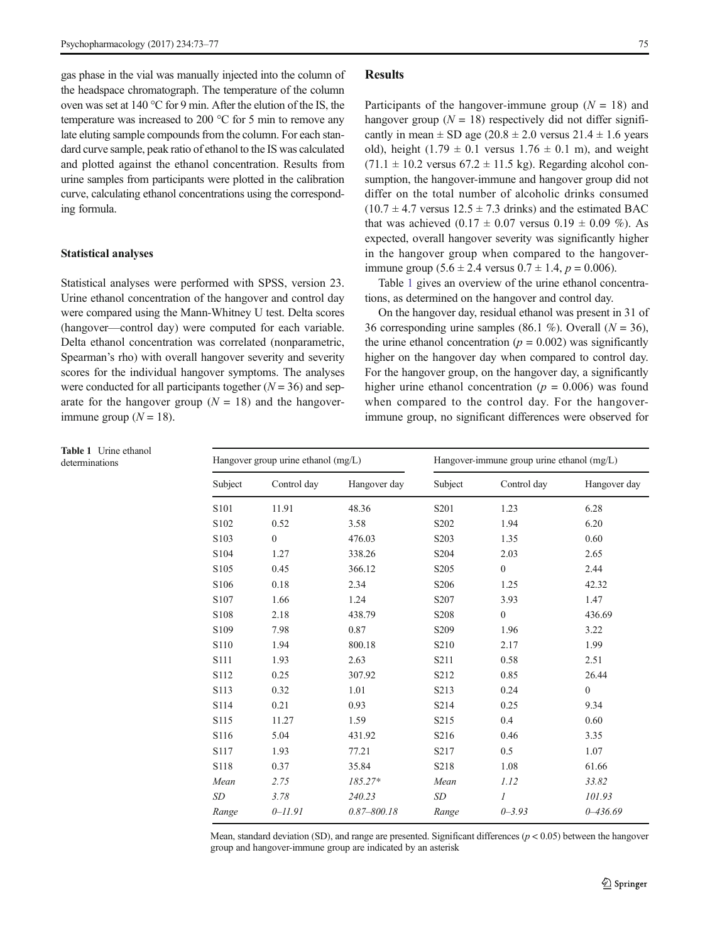gas phase in the vial was manually injected into the column of the headspace chromatograph. The temperature of the column oven was set at 140 °C for 9 min. After the elution of the IS, the temperature was increased to 200 °C for 5 min to remove any late eluting sample compounds from the column. For each standard curve sample, peak ratio of ethanol to the IS was calculated and plotted against the ethanol concentration. Results from urine samples from participants were plotted in the calibration curve, calculating ethanol concentrations using the corresponding formula.

#### Statistical analyses

Statistical analyses were performed with SPSS, version 23. Urine ethanol concentration of the hangover and control day were compared using the Mann-Whitney U test. Delta scores (hangover—control day) were computed for each variable. Delta ethanol concentration was correlated (nonparametric, Spearman's rho) with overall hangover severity and severity scores for the individual hangover symptoms. The analyses were conducted for all participants together  $(N = 36)$  and separate for the hangover group  $(N = 18)$  and the hangoverimmune group  $(N = 18)$ .

### Results

Participants of the hangover-immune group  $(N = 18)$  and hangover group ( $N = 18$ ) respectively did not differ significantly in mean  $\pm$  SD age (20.8  $\pm$  2.0 versus 21.4  $\pm$  1.6 years old), height (1.79  $\pm$  0.1 versus 1.76  $\pm$  0.1 m), and weight  $(71.1 \pm 10.2 \text{ versus } 67.2 \pm 11.5 \text{ kg})$ . Regarding alcohol consumption, the hangover-immune and hangover group did not differ on the total number of alcoholic drinks consumed  $(10.7 \pm 4.7 \text{ versus } 12.5 \pm 7.3 \text{ drinks})$  and the estimated BAC that was achieved  $(0.17 \pm 0.07 \text{ versus } 0.19 \pm 0.09 \% )$ . As expected, overall hangover severity was significantly higher in the hangover group when compared to the hangoverimmune group  $(5.6 \pm 2.4 \text{ versus } 0.7 \pm 1.4, p = 0.006)$ .

Table 1 gives an overview of the urine ethanol concentrations, as determined on the hangover and control day.

On the hangover day, residual ethanol was present in 31 of 36 corresponding urine samples (86.1 %). Overall ( $N = 36$ ), the urine ethanol concentration ( $p = 0.002$ ) was significantly higher on the hangover day when compared to control day. For the hangover group, on the hangover day, a significantly higher urine ethanol concentration ( $p = 0.006$ ) was found when compared to the control day. For the hangoverimmune group, no significant differences were observed for

| determinations | Hangover group urine ethanol (mg/L) |                  |                 | Hangover-immune group urine ethanol (mg/L) |                  |                |
|----------------|-------------------------------------|------------------|-----------------|--------------------------------------------|------------------|----------------|
|                | Subject                             | Control day      | Hangover day    | Subject                                    | Control day      | Hangover day   |
|                | S <sub>101</sub>                    | 11.91            | 48.36           | S <sub>201</sub>                           | 1.23             | 6.28           |
|                | S102                                | 0.52             | 3.58            | S <sub>202</sub>                           | 1.94             | 6.20           |
|                | S103                                | $\boldsymbol{0}$ | 476.03          | S <sub>20</sub> 3                          | 1.35             | 0.60           |
|                | S104                                | 1.27             | 338.26          | S <sub>204</sub>                           | 2.03             | 2.65           |
|                | S105                                | 0.45             | 366.12          | S <sub>205</sub>                           | $\boldsymbol{0}$ | 2.44           |
|                | S106                                | 0.18             | 2.34            | S <sub>206</sub>                           | 1.25             | 42.32          |
|                | S107                                | 1.66             | 1.24            | S207                                       | 3.93             | 1.47           |
|                | S108                                | 2.18             | 438.79          | S <sub>208</sub>                           | $\boldsymbol{0}$ | 436.69         |
|                | S109                                | 7.98             | 0.87            | S <sub>209</sub>                           | 1.96             | 3.22           |
|                | S110                                | 1.94             | 800.18          | S <sub>2</sub> 10                          | 2.17             | 1.99           |
|                | S111                                | 1.93             | 2.63            | S211                                       | 0.58             | 2.51           |
|                | S112                                | 0.25             | 307.92          | S212                                       | 0.85             | 26.44          |
|                | S113                                | 0.32             | 1.01            | S213                                       | 0.24             | $\overline{0}$ |
|                | S114                                | 0.21             | 0.93            | S214                                       | 0.25             | 9.34           |
|                | S115                                | 11.27            | 1.59            | S <sub>2</sub> 15                          | $0.4\,$          | 0.60           |
|                | S116                                | 5.04             | 431.92          | S216                                       | 0.46             | 3.35           |
|                | S117                                | 1.93             | 77.21           | S217                                       | $0.5\,$          | 1.07           |
|                | S118                                | 0.37             | 35.84           | S218                                       | 1.08             | 61.66          |
|                | Mean                                | 2.75             | 185.27*         | Mean                                       | 1.12             | 33.82          |
|                | $\,SD$                              | 3.78             | 240.23          | SD                                         | $\boldsymbol{I}$ | 101.93         |
|                | Range                               | $0 - 11.91$      | $0.87 - 800.18$ | Range                                      | $0 - 3.93$       | $0 - 436.69$   |

Table 1 Urine ethanol<br>determinations

Mean, standard deviation (SD), and range are presented. Significant differences ( $p < 0.05$ ) between the hangover group and hangover-immune group are indicated by an asterisk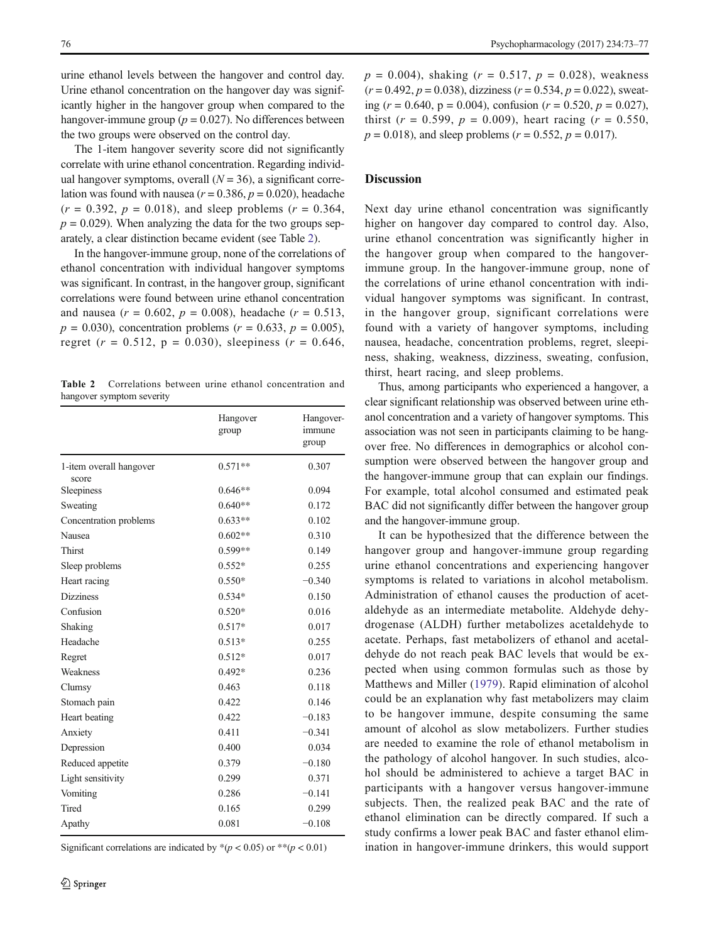urine ethanol levels between the hangover and control day. Urine ethanol concentration on the hangover day was significantly higher in the hangover group when compared to the hangover-immune group ( $p = 0.027$ ). No differences between the two groups were observed on the control day.

The 1-item hangover severity score did not significantly correlate with urine ethanol concentration. Regarding individual hangover symptoms, overall  $(N = 36)$ , a significant correlation was found with nausea ( $r = 0.386$ ,  $p = 0.020$ ), headache  $(r = 0.392, p = 0.018)$ , and sleep problems  $(r = 0.364,$  $p = 0.029$ ). When analyzing the data for the two groups separately, a clear distinction became evident (see Table 2).

In the hangover-immune group, none of the correlations of ethanol concentration with individual hangover symptoms was significant. In contrast, in the hangover group, significant correlations were found between urine ethanol concentration and nausea ( $r = 0.602$ ,  $p = 0.008$ ), headache ( $r = 0.513$ ,  $p = 0.030$ , concentration problems ( $r = 0.633$ ,  $p = 0.005$ ), regret ( $r = 0.512$ ,  $p = 0.030$ ), sleepiness ( $r = 0.646$ ,

Table 2 Correlations between urine ethanol concentration and hangover symptom severity

|                                  | Hangover<br>group | Hangover-<br>immune<br>group |
|----------------------------------|-------------------|------------------------------|
| 1-item overall hangover<br>score | $0.571**$         | 0.307                        |
| Sleepiness                       | $0.646**$         | 0.094                        |
| Sweating                         | $0.640**$         | 0.172                        |
| Concentration problems           | $0.633**$         | 0.102                        |
| Nausea                           | $0.602**$         | 0.310                        |
| <b>Thirst</b>                    | $0.599**$         | 0.149                        |
| Sleep problems                   | $0.552*$          | 0.255                        |
| Heart racing                     | $0.550*$          | $-0.340$                     |
| <b>Dizziness</b>                 | $0.534*$          | 0.150                        |
| Confusion                        | $0.520*$          | 0.016                        |
| Shaking                          | $0.517*$          | 0.017                        |
| Headache                         | $0.513*$          | 0.255                        |
| Regret                           | $0.512*$          | 0.017                        |
| Weakness                         | $0.492*$          | 0.236                        |
| Clumsy                           | 0.463             | 0.118                        |
| Stomach pain                     | 0.422             | 0.146                        |
| Heart beating                    | 0.422             | $-0.183$                     |
| Anxiety                          | 0.411             | $-0.341$                     |
| Depression                       | 0.400             | 0.034                        |
| Reduced appetite                 | 0.379             | $-0.180$                     |
| Light sensitivity                | 0.299             | 0.371                        |
| Vomiting                         | 0.286             | $-0.141$                     |
| Tired                            | 0.165             | 0.299                        |
| Apathy                           | 0.081             | $-0.108$                     |

Significant correlations are indicated by  $*(p < 0.05)$  or  $** (p < 0.01)$ 

 $p = 0.004$ , shaking ( $r = 0.517$ ,  $p = 0.028$ ), weakness  $(r = 0.492, p = 0.038)$ , dizziness  $(r = 0.534, p = 0.022)$ , sweating ( $r = 0.640$ ,  $p = 0.004$ ), confusion ( $r = 0.520$ ,  $p = 0.027$ ), thirst ( $r = 0.599$ ,  $p = 0.009$ ), heart racing ( $r = 0.550$ ,  $p = 0.018$ , and sleep problems ( $r = 0.552$ ,  $p = 0.017$ ).

## **Discussion**

Next day urine ethanol concentration was significantly higher on hangover day compared to control day. Also, urine ethanol concentration was significantly higher in the hangover group when compared to the hangoverimmune group. In the hangover-immune group, none of the correlations of urine ethanol concentration with individual hangover symptoms was significant. In contrast, in the hangover group, significant correlations were found with a variety of hangover symptoms, including nausea, headache, concentration problems, regret, sleepiness, shaking, weakness, dizziness, sweating, confusion, thirst, heart racing, and sleep problems.

Thus, among participants who experienced a hangover, a clear significant relationship was observed between urine ethanol concentration and a variety of hangover symptoms. This association was not seen in participants claiming to be hangover free. No differences in demographics or alcohol consumption were observed between the hangover group and the hangover-immune group that can explain our findings. For example, total alcohol consumed and estimated peak BAC did not significantly differ between the hangover group and the hangover-immune group.

It can be hypothesized that the difference between the hangover group and hangover-immune group regarding urine ethanol concentrations and experiencing hangover symptoms is related to variations in alcohol metabolism. Administration of ethanol causes the production of acetaldehyde as an intermediate metabolite. Aldehyde dehydrogenase (ALDH) further metabolizes acetaldehyde to acetate. Perhaps, fast metabolizers of ethanol and acetaldehyde do not reach peak BAC levels that would be expected when using common formulas such as those by Matthews and Miller ([1979](#page-4-0)). Rapid elimination of alcohol could be an explanation why fast metabolizers may claim to be hangover immune, despite consuming the same amount of alcohol as slow metabolizers. Further studies are needed to examine the role of ethanol metabolism in the pathology of alcohol hangover. In such studies, alcohol should be administered to achieve a target BAC in participants with a hangover versus hangover-immune subjects. Then, the realized peak BAC and the rate of ethanol elimination can be directly compared. If such a study confirms a lower peak BAC and faster ethanol elimination in hangover-immune drinkers, this would support